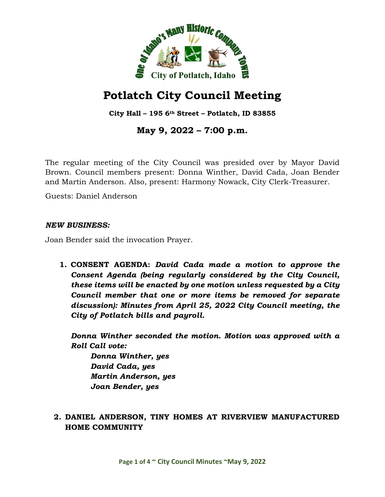

# **Potlatch City Council Meeting**

**City Hall – 195 6th Street – Potlatch, ID 83855**

**May 9, 2022 – 7:00 p.m.**

The regular meeting of the City Council was presided over by Mayor David Brown. Council members present: Donna Winther, David Cada, Joan Bender and Martin Anderson. Also, present: Harmony Nowack, City Clerk-Treasurer.

Guests: Daniel Anderson

#### *NEW BUSINESS:*

Joan Bender said the invocation Prayer.

**1. CONSENT AGENDA:** *David Cada made a motion to approve the Consent Agenda (being regularly considered by the City Council, these items will be enacted by one motion unless requested by a City Council member that one or more items be removed for separate discussion): Minutes from April 25, 2022 City Council meeting, the City of Potlatch bills and payroll.*

*Donna Winther seconded the motion. Motion was approved with a Roll Call vote:*

*Donna Winther, yes David Cada, yes Martin Anderson, yes Joan Bender, yes*

# **2. DANIEL ANDERSON, TINY HOMES AT RIVERVIEW MANUFACTURED HOME COMMUNITY**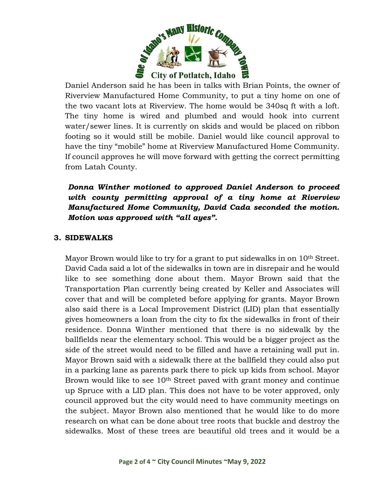

Daniel Anderson said he has been in talks with Brian Points, the owner of Riverview Manufactured Home Community, to put a tiny home on one of the two vacant lots at Riverview. The home would be 340sq ft with a loft. The tiny home is wired and plumbed and would hook into current water/sewer lines. It is currently on skids and would be placed on ribbon footing so it would still be mobile. Daniel would like council approval to have the tiny "mobile" home at Riverview Manufactured Home Community. If council approves he will move forward with getting the correct permitting from Latah County.

# *Donna Winther motioned to approved Daniel Anderson to proceed with county permitting approval of a tiny home at Riverview Manufactured Home Community, David Cada seconded the motion. Motion was approved with "all ayes".*

#### **3. SIDEWALKS**

Mayor Brown would like to try for a grant to put sidewalks in on 10<sup>th</sup> Street. David Cada said a lot of the sidewalks in town are in disrepair and he would like to see something done about them. Mayor Brown said that the Transportation Plan currently being created by Keller and Associates will cover that and will be completed before applying for grants. Mayor Brown also said there is a Local Improvement District (LID) plan that essentially gives homeowners a loan from the city to fix the sidewalks in front of their residence. Donna Winther mentioned that there is no sidewalk by the ballfields near the elementary school. This would be a bigger project as the side of the street would need to be filled and have a retaining wall put in. Mayor Brown said with a sidewalk there at the ballfield they could also put in a parking lane as parents park there to pick up kids from school. Mayor Brown would like to see 10<sup>th</sup> Street paved with grant money and continue up Spruce with a LID plan. This does not have to be voter approved, only council approved but the city would need to have community meetings on the subject. Mayor Brown also mentioned that he would like to do more research on what can be done about tree roots that buckle and destroy the sidewalks. Most of these trees are beautiful old trees and it would be a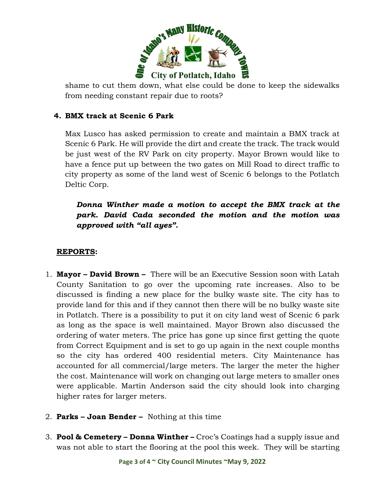

shame to cut them down, what else could be done to keep the sidewalks from needing constant repair due to roots?

# **4. BMX track at Scenic 6 Park**

Max Lusco has asked permission to create and maintain a BMX track at Scenic 6 Park. He will provide the dirt and create the track. The track would be just west of the RV Park on city property. Mayor Brown would like to have a fence put up between the two gates on Mill Road to direct traffic to city property as some of the land west of Scenic 6 belongs to the Potlatch Deltic Corp.

*Donna Winther made a motion to accept the BMX track at the park. David Cada seconded the motion and the motion was approved with "all ayes".* 

# **REPORTS:**

- 1. **Mayor David Brown** There will be an Executive Session soon with Latah County Sanitation to go over the upcoming rate increases. Also to be discussed is finding a new place for the bulky waste site. The city has to provide land for this and if they cannot then there will be no bulky waste site in Potlatch. There is a possibility to put it on city land west of Scenic 6 park as long as the space is well maintained. Mayor Brown also discussed the ordering of water meters. The price has gone up since first getting the quote from Correct Equipment and is set to go up again in the next couple months so the city has ordered 400 residential meters. City Maintenance has accounted for all commercial/large meters. The larger the meter the higher the cost. Maintenance will work on changing out large meters to smaller ones were applicable. Martin Anderson said the city should look into charging higher rates for larger meters.
- 2. **Parks Joan Bender** Nothing at this time
- 3. **Pool & Cemetery Donna Winther –** Croc's Coatings had a supply issue and was not able to start the flooring at the pool this week. They will be starting